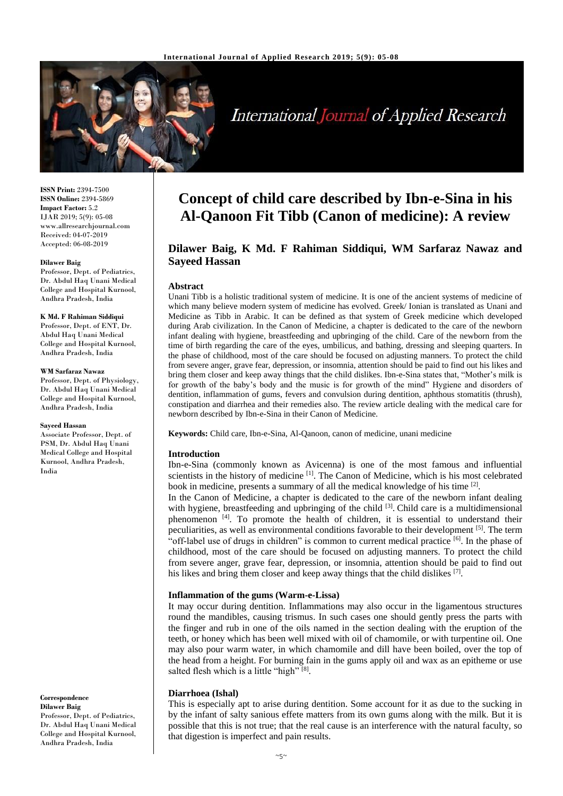

# **International Journal of Applied Research**

**ISSN Print:** 2394-7500 **ISSN Online:** 2394-5869 **Impact Factor:** 5.2 IJAR 2019; 5(9): 05-08 www.allresearchjournal.com Received: 04-07-2019 Accepted: 06-08-2019

#### **Dilawer Baig**

Professor, Dept. of Pediatrics, Dr. Abdul Haq Unani Medical College and Hospital Kurnool, Andhra Pradesh, India

#### **K Md. F Rahiman Siddiqui**

Professor, Dept. of ENT, Dr. Abdul Haq Unani Medical College and Hospital Kurnool, Andhra Pradesh, India

#### **WM Sarfaraz Nawaz**

Professor, Dept. of Physiology, Dr. Abdul Haq Unani Medical College and Hospital Kurnool, Andhra Pradesh, India

#### **Sayeed Hassan**

Associate Professor, Dept. of PSM, Dr. Abdul Haq Unani Medical College and Hospital Kurnool, Andhra Pradesh, India

**Correspondence Dilawer Baig** Professor, Dept. of Pediatrics, Dr. Abdul Haq Unani Medical College and Hospital Kurnool, Andhra Pradesh, India

## **Concept of child care described by Ibn-e-Sina in his Al-Qanoon Fit Tibb (Canon of medicine): A review**

### **Dilawer Baig, K Md. F Rahiman Siddiqui, WM Sarfaraz Nawaz and Sayeed Hassan**

#### **Abstract**

Unani Tibb is a holistic traditional system of medicine. It is one of the ancient systems of medicine of which many believe modern system of medicine has evolved. Greek/ Ionian is translated as Unani and Medicine as Tibb in Arabic. It can be defined as that system of Greek medicine which developed during Arab civilization. In the Canon of Medicine, a chapter is dedicated to the care of the newborn infant dealing with hygiene, breastfeeding and upbringing of the child. Care of the newborn from the time of birth regarding the care of the eyes, umbilicus, and bathing, dressing and sleeping quarters. In the phase of childhood, most of the care should be focused on adjusting manners. To protect the child from severe anger, grave fear, depression, or insomnia, attention should be paid to find out his likes and bring them closer and keep away things that the child dislikes. Ibn-e-Sina states that, "Mother's milk is for growth of the baby's body and the music is for growth of the mind" Hygiene and disorders of dentition, inflammation of gums, fevers and convulsion during dentition, aphthous stomatitis (thrush), constipation and diarrhea and their remedies also. The review article dealing with the medical care for newborn described by Ibn-e-Sina in their Canon of Medicine.

**Keywords:** Child care, Ibn-e-Sina, Al-Qanoon, canon of medicine, unani medicine

#### **Introduction**

Ibn-e-Sina (commonly known as Avicenna) is one of the most famous and influential scientists in the history of medicine [1]. The Canon of Medicine, which is his most celebrated book in medicine, presents a summary of all the medical knowledge of his time [2].

In the Canon of Medicine, a chapter is dedicated to the care of the newborn infant dealing with hygiene, breastfeeding and upbringing of the child [3]. Child care is a multidimensional phenomenon<sup>[4]</sup>. To promote the health of children, it is essential to understand their peculiarities, as well as environmental conditions favorable to their development [5]. The term "off-label use of drugs in children" is common to current medical practice <sup>[6]</sup>. In the phase of childhood, most of the care should be focused on adjusting manners. To protect the child from severe anger, grave fear, depression, or insomnia, attention should be paid to find out his likes and bring them closer and keep away things that the child dislikes [7].

#### **Inflammation of the gums (Warm-e-Lissa)**

It may occur during dentition. Inflammations may also occur in the ligamentous structures round the mandibles, causing trismus. In such cases one should gently press the parts with the finger and rub in one of the oils named in the section dealing with the eruption of the teeth, or honey which has been well mixed with oil of chamomile, or with turpentine oil. One may also pour warm water, in which chamomile and dill have been boiled, over the top of the head from a height. For burning fain in the gums apply oil and wax as an epitheme or use salted flesh which is a little "high" [8].

#### **Diarrhoea (Ishal)**

This is especially apt to arise during dentition. Some account for it as due to the sucking in by the infant of salty sanious effete matters from its own gums along with the milk. But it is possible that this is not true; that the real cause is an interference with the natural faculty, so that digestion is imperfect and pain results.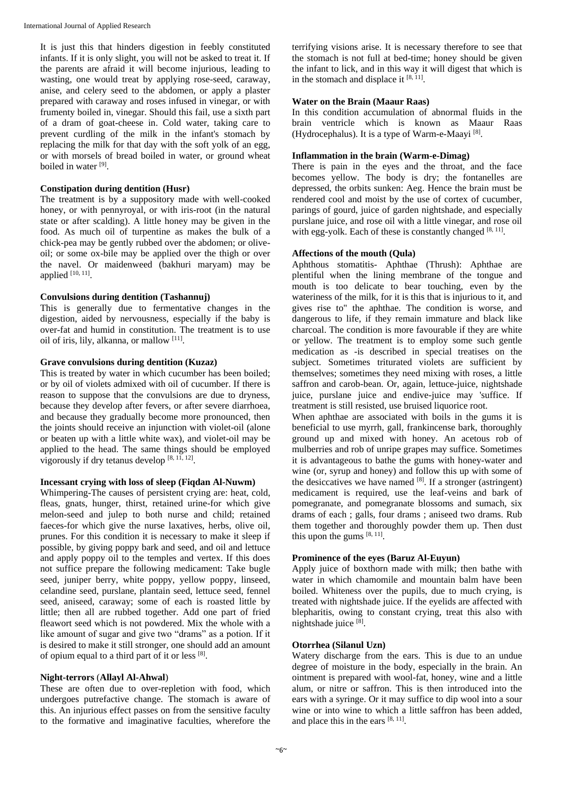It is just this that hinders digestion in feebly constituted infants. If it is only slight, you will not be asked to treat it. If the parents are afraid it will become injurious, leading to wasting, one would treat by applying rose-seed, caraway, anise, and celery seed to the abdomen, or apply a plaster prepared with caraway and roses infused in vinegar, or with frumenty boiled in, vinegar. Should this fail, use a sixth part of a dram of goat-cheese in. Cold water, taking care to prevent curdling of the milk in the infant's stomach by replacing the milk for that day with the soft yolk of an egg, or with morsels of bread boiled in water, or ground wheat boiled in water<sup>[9]</sup>.

#### **Constipation during dentition (Husr)**

The treatment is by a suppository made with well-cooked honey, or with pennyroyal, or with iris-root (in the natural state or after scalding). A little honey may be given in the food. As much oil of turpentine as makes the bulk of a chick-pea may be gently rubbed over the abdomen; or oliveoil; or some ox-bile may be applied over the thigh or over the navel. Or maidenweed (bakhuri maryam) may be applied  $[10, 11]$ .

#### **Convulsions during dentition (Tashannuj)**

This is generally due to fermentative changes in the digestion, aided by nervousness, especially if the baby is over-fat and humid in constitution. The treatment is to use oil of iris, lily, alkanna, or mallow [11].

#### **Grave convulsions during dentition (Kuzaz)**

This is treated by water in which cucumber has been boiled; or by oil of violets admixed with oil of cucumber. If there is reason to suppose that the convulsions are due to dryness, because they develop after fevers, or after severe diarrhoea, and because they gradually become more pronounced, then the joints should receive an injunction with violet-oil (alone or beaten up with a little white wax), and violet-oil may be applied to the head. The same things should be employed vigorously if dry tetanus develop [8, 11, 12].

#### **Incessant crying with loss of sleep (Fiqdan Al-Nuwm)**

Whimpering-The causes of persistent crying are: heat, cold, fleas, gnats, hunger, thirst, retained urine-for which give melon-seed and julep to both nurse and child; retained faeces-for which give the nurse laxatives, herbs, olive oil, prunes. For this condition it is necessary to make it sleep if possible, by giving poppy bark and seed, and oil and lettuce and apply poppy oil to the temples and vertex. If this does not suffice prepare the following medicament: Take bugle seed, juniper berry, white poppy, yellow poppy, linseed, celandine seed, purslane, plantain seed, lettuce seed, fennel seed, aniseed, caraway; some of each is roasted little by little; then all are rubbed together. Add one part of fried fleawort seed which is not powdered. Mix the whole with a like amount of sugar and give two "drams" as a potion. If it is desired to make it still stronger, one should add an amount of opium equal to a third part of it or less [8].

#### **Night-terrors** (**Allayl Al-Ahwal**)

These are often due to over-repletion with food, which undergoes putrefactive change. The stomach is aware of this. An injurious effect passes on from the sensitive faculty to the formative and imaginative faculties, wherefore the terrifying visions arise. It is necessary therefore to see that the stomach is not full at bed-time; honey should be given the infant to lick, and in this way it will digest that which is in the stomach and displace it  $[8, 11]$ .

#### **Water on the Brain (Maaur Raas)**

In this condition accumulation of abnormal fluids in the brain ventricle which is known as Maaur Raas (Hydrocephalus). It is a type of Warm-e-Maayi<sup>[8]</sup>.

#### **Inflammation in the brain (Warm-e-Dimag)**

There is pain in the eyes and the throat, and the face becomes yellow. The body is dry; the fontanelles are depressed, the orbits sunken: Aeg. Hence the brain must be rendered cool and moist by the use of cortex of cucumber, parings of gourd, juice of garden nightshade, and especially purslane juice, and rose oil with a little vinegar, and rose oil with egg-yolk. Each of these is constantly changed [8, 11].

#### **Affections of the mouth (Qula)**

Aphthous stomatitis- Aphthae (Thrush): Aphthae are plentiful when the lining membrane of the tongue and mouth is too delicate to bear touching, even by the wateriness of the milk, for it is this that is injurious to it, and gives rise to" the aphthae. The condition is worse, and dangerous to life, if they remain immature and black like charcoal. The condition is more favourable if they are white or yellow. The treatment is to employ some such gentle medication as -is described in special treatises on the subject. Sometimes triturated violets are sufficient by themselves; sometimes they need mixing with roses, a little saffron and carob-bean. Or, again, lettuce-juice, nightshade juice, purslane juice and endive-juice may 'suffice. If treatment is still resisted, use bruised liquorice root.

When aphthae are associated with boils in the gums it is beneficial to use myrrh, gall, frankincense bark, thoroughly ground up and mixed with honey. An acetous rob of mulberries and rob of unripe grapes may suffice. Sometimes it is advantageous to bathe the gums with honey-water and wine (or, syrup and honey) and follow this up with some of the desiccatives we have named  $[8]$ . If a stronger (astringent) medicament is required, use the leaf-veins and bark of pomegranate, and pomegranate blossoms and sumach, six drams of each ; galls, four drams ; aniseed two drams. Rub them together and thoroughly powder them up. Then dust this upon the gums  $[8, 11]$ .

#### **Prominence of the eyes (Baruz Al-Euyun)**

Apply juice of boxthorn made with milk; then bathe with water in which chamomile and mountain balm have been boiled. Whiteness over the pupils, due to much crying, is treated with nightshade juice. If the eyelids are affected with blepharitis, owing to constant crying, treat this also with nightshade juice [8].

#### **Otorrhea (Silanul Uzn)**

Watery discharge from the ears. This is due to an undue degree of moisture in the body, especially in the brain. An ointment is prepared with wool-fat, honey, wine and a little alum, or nitre or saffron. This is then introduced into the ears with a syringe. Or it may suffice to dip wool into a sour wine or into wine to which a little saffron has been added, and place this in the ears  $[8, 11]$ .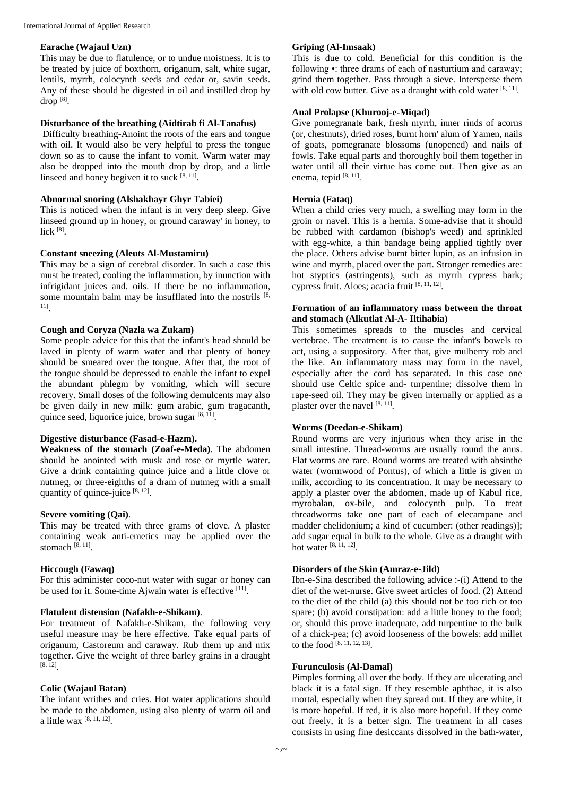#### **Earache (Wajaul Uzn)**

This may be due to flatulence, or to undue moistness. It is to be treated by juice of boxthorn, origanum, salt, white sugar, lentils, myrrh, colocynth seeds and cedar or, savin seeds. Any of these should be digested in oil and instilled drop by drop [8] .

#### **Disturbance of the breathing (Aidtirab fi Al-Tanafus)**

Difficulty breathing-Anoint the roots of the ears and tongue with oil. It would also be very helpful to press the tongue down so as to cause the infant to vomit. Warm water may also be dropped into the mouth drop by drop, and a little linseed and honey begiven it to suck  $[8, 11]$ .

#### **Abnormal snoring (Alshakhayr Ghyr Tabiei)**

This is noticed when the infant is in very deep sleep. Give linseed ground up in honey, or ground caraway' in honey, to lick [8] .

#### **Constant sneezing (Aleuts Al-Mustamiru)**

This may be a sign of cerebral disorder. In such a case this must be treated, cooling the inflammation, by inunction with infrigidant juices and. oils. If there be no inflammation, some mountain balm may be insufflated into the nostrils [8, 11] .

#### **Cough and Coryza (Nazla wa Zukam)**

Some people advice for this that the infant's head should be laved in plenty of warm water and that plenty of honey should be smeared over the tongue. After that, the root of the tongue should be depressed to enable the infant to expel the abundant phlegm by vomiting, which will secure recovery. Small doses of the following demulcents may also be given daily in new milk: gum arabic, gum tragacanth, quince seed, liquorice juice, brown sugar  $[8, 11]$ .

#### **Digestive disturbance (Fasad-e-Hazm).**

**Weakness of the stomach (Zoaf-e-Meda)**. The abdomen should be anointed with musk and rose or myrtle water. Give a drink containing quince juice and a little clove or nutmeg, or three-eighths of a dram of nutmeg with a small quantity of quince-juice  $[8, 12]$ .

#### **Severe vomiting (Qai)**.

This may be treated with three grams of clove. A plaster containing weak anti-emetics may be applied over the stomach  $^{[8, 11]}$ .

#### **Hiccough (Fawaq)**

For this administer coco-nut water with sugar or honey can be used for it. Some-time Ajwain water is effective [11].

#### **Flatulent distension (Nafakh-e-Shikam)**.

For treatment of Nafakh-e-Shikam, the following very useful measure may be here effective. Take equal parts of origanum, Castoreum and caraway. Rub them up and mix together. Give the weight of three barley grains in a draught [8, 12] .

#### **Colic (Wajaul Batan)**

The infant writhes and cries. Hot water applications should be made to the abdomen, using also plenty of warm oil and a little wax [8, 11, 12] .

#### **Griping (Al-Imsaak)**

This is due to cold. Beneficial for this condition is the following •: three drams of each of nasturtium and caraway; grind them together. Pass through a sieve. Intersperse them with old cow butter. Give as a draught with cold water [8, 11].

#### **Anal Prolapse (Khurooj-e-Miqad)**

Give pomegranate bark, fresh myrrh, inner rinds of acorns (or, chestnuts), dried roses, burnt horn' alum of Yamen, nails of goats, pomegranate blossoms (unopened) and nails of fowls. Take equal parts and thoroughly boil them together in water until all their virtue has come out. Then give as an enema, tepid [8, 11].

#### **Hernia (Fataq)**

When a child cries very much, a swelling may form in the groin or navel. This is a hernia. Some-advise that it should be rubbed with cardamon (bishop's weed) and sprinkled with egg-white, a thin bandage being applied tightly over the place. Others advise burnt bitter lupin, as an infusion in wine and myrrh, placed over the part. Stronger remedies are: hot styptics (astringents), such as myrrh cypress bark; cypress fruit. Aloes; acacia fruit [8, 11, 12].

#### **Formation of an inflammatory mass between the throat and stomach (Alkutlat Al-A- Iltihabia)**

This sometimes spreads to the muscles and cervical vertebrae. The treatment is to cause the infant's bowels to act, using a suppository. After that, give mulberry rob and the like. An inflammatory mass may form in the navel, especially after the cord has separated. In this case one should use Celtic spice and- turpentine; dissolve them in rape-seed oil. They may be given internally or applied as a plaster over the navel [8, 11].

#### **Worms (Deedan-e-Shikam)**

Round worms are very injurious when they arise in the small intestine. Thread-worms are usually round the anus. Flat worms are rare. Round worms are treated with absinthe water (wormwood of Pontus), of which a little is given m milk, according to its concentration. It may be necessary to apply a plaster over the abdomen, made up of Kabul rice, myrobalan, ox-bile, and colocynth pulp. To treat threadworms take one part of each of elecampane and madder chelidonium; a kind of cucumber: (other readings)]; add sugar equal in bulk to the whole. Give as a draught with hot water [8, 11, 12].

#### **Disorders of the Skin (Amraz-e-Jild)**

Ibn-e-Sina described the following advice :-(i) Attend to the diet of the wet-nurse. Give sweet articles of food. (2) Attend to the diet of the child (a) this should not be too rich or too spare; (b) avoid constipation: add a little honey to the food; or, should this prove inadequate, add turpentine to the bulk of a chick-pea; (c) avoid looseness of the bowels: add millet to the food [8, 11, 12, 13] .

#### **Furunculosis (Al-Damal)**

Pimples forming all over the body. If they are ulcerating and black it is a fatal sign. If they resemble aphthae, it is also mortal, especially when they spread out. If they are white, it is more hopeful. If red, it is also more hopeful. If they come out freely, it is a better sign. The treatment in all cases consists in using fine desiccants dissolved in the bath-water,